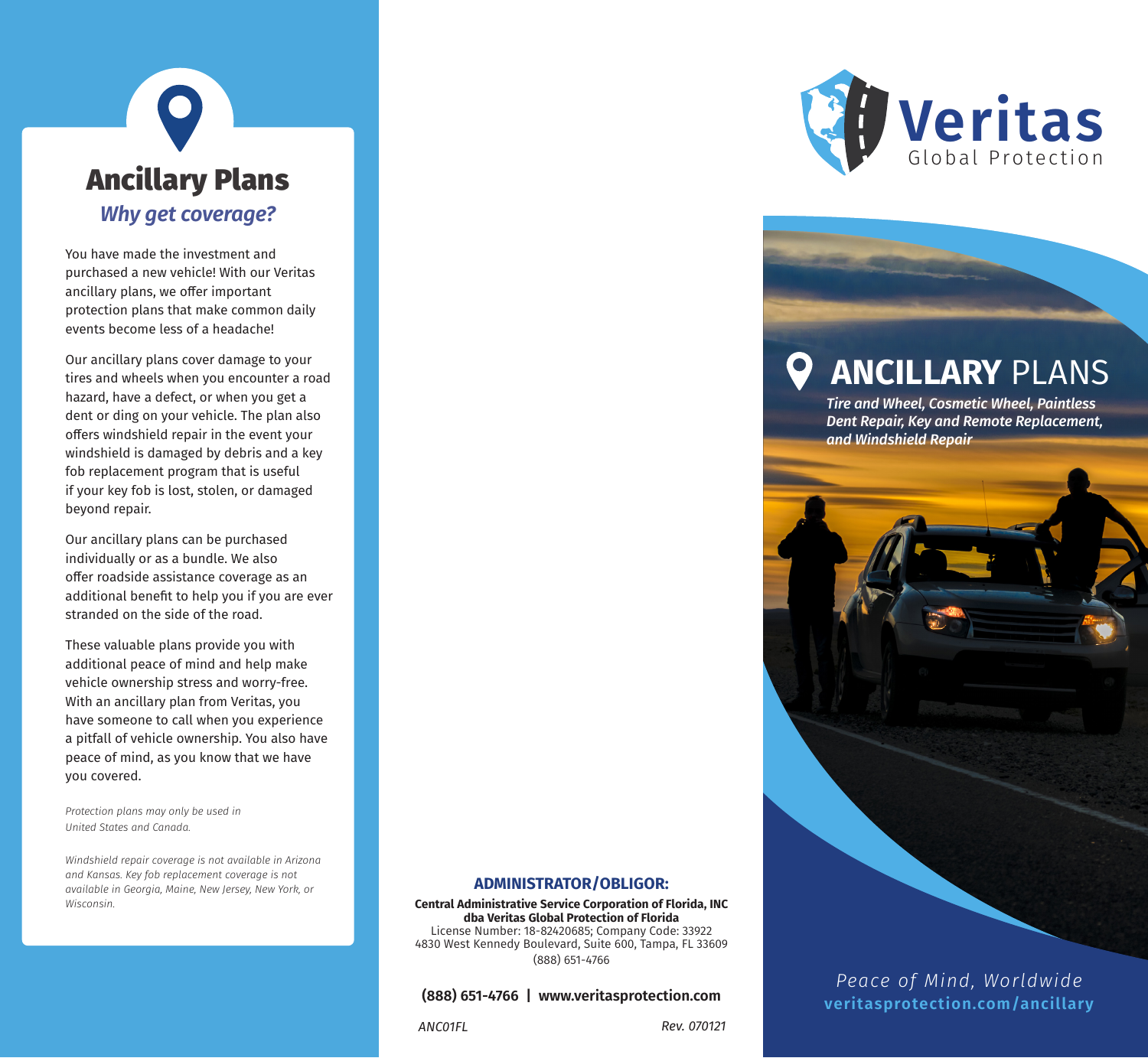# Ancillary Plans *Why get coverage?*

You have made the investment and purchased a new vehicle! With our Veritas ancillary plans, we offer important protection plans that make common daily events become less of a headache!

Our ancillary plans cover damage to your tires and wheels when you encounter a road hazard, have a defect, or when you get a dent or ding on your vehicle. The plan also offers windshield repair in the event your windshield is damaged by debris and a key fob replacement program that is useful if your key fob is lost, stolen, or damaged beyond repair.

Our ancillary plans can be purchased individually or as a bundle. We also offer roadside assistance coverage as an additional benefit to help you if you are ever stranded on the side of the road.

These valuable plans provide you with additional peace of mind and help make vehicle ownership stress and worry-free. With an ancillary plan from Veritas, you have someone to call when you experience a pitfall of vehicle ownership. You also have peace of mind, as you know that we have you covered.

*Protection plans may only be used in United States and Canada.* 

*Windshield repair coverage is not available in Arizona and Kansas. Key fob replacement coverage is not available in Georgia, Maine, New Jersey, New York, or Wisconsin.*



# **ANCILLARY** PLANS

*Tire and Wheel, Cosmetic Wheel, Paintless Dent Repair, Key and Remote Replacement, and Windshield Repair*

#### **ADMINISTRATOR/OBLIGOR:**

**Central Administrative Service Corporation of Florida, INC dba Veritas Global Protection of Florida** License Number: 18-82420685; Company Code: 33922 4830 West Kennedy Boulevard, Suite 600, Tampa, FL 33609 (888) 651-4766

#### **(888) 651-4766 | www.veritasprotection.com**

*ANC01FL Rev. 070121*

*Peace of Mind, Worldwide* **veritasprotection.com/ancillary**